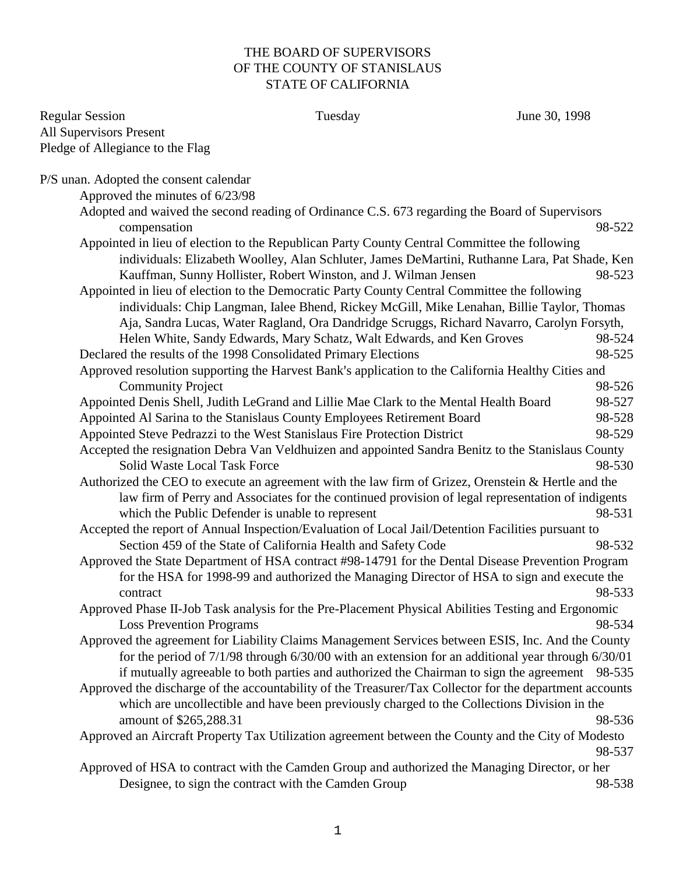## THE BOARD OF SUPERVISORS OF THE COUNTY OF STANISLAUS STATE OF CALIFORNIA

| <b>Regular Session</b>                 | Tuesday                                                                                                                                                            | June 30, 1998 |
|----------------------------------------|--------------------------------------------------------------------------------------------------------------------------------------------------------------------|---------------|
| <b>All Supervisors Present</b>         |                                                                                                                                                                    |               |
| Pledge of Allegiance to the Flag       |                                                                                                                                                                    |               |
| P/S unan. Adopted the consent calendar |                                                                                                                                                                    |               |
| Approved the minutes of 6/23/98        |                                                                                                                                                                    |               |
|                                        | Adopted and waived the second reading of Ordinance C.S. 673 regarding the Board of Supervisors                                                                     |               |
| compensation                           |                                                                                                                                                                    | 98-522        |
|                                        | Appointed in lieu of election to the Republican Party County Central Committee the following                                                                       |               |
|                                        | individuals: Elizabeth Woolley, Alan Schluter, James DeMartini, Ruthanne Lara, Pat Shade, Ken                                                                      |               |
|                                        | Kauffman, Sunny Hollister, Robert Winston, and J. Wilman Jensen                                                                                                    | 98-523        |
|                                        | Appointed in lieu of election to the Democratic Party County Central Committee the following                                                                       |               |
|                                        | individuals: Chip Langman, Ialee Bhend, Rickey McGill, Mike Lenahan, Billie Taylor, Thomas                                                                         |               |
|                                        | Aja, Sandra Lucas, Water Ragland, Ora Dandridge Scruggs, Richard Navarro, Carolyn Forsyth,                                                                         |               |
|                                        | Helen White, Sandy Edwards, Mary Schatz, Walt Edwards, and Ken Groves                                                                                              | 98-524        |
|                                        | Declared the results of the 1998 Consolidated Primary Elections                                                                                                    | 98-525        |
|                                        | Approved resolution supporting the Harvest Bank's application to the California Healthy Cities and                                                                 |               |
| <b>Community Project</b>               |                                                                                                                                                                    | 98-526        |
|                                        | Appointed Denis Shell, Judith LeGrand and Lillie Mae Clark to the Mental Health Board                                                                              | 98-527        |
|                                        | Appointed Al Sarina to the Stanislaus County Employees Retirement Board                                                                                            | 98-528        |
|                                        | Appointed Steve Pedrazzi to the West Stanislaus Fire Protection District                                                                                           | 98-529        |
|                                        | Accepted the resignation Debra Van Veldhuizen and appointed Sandra Benitz to the Stanislaus County                                                                 |               |
| <b>Solid Waste Local Task Force</b>    |                                                                                                                                                                    | 98-530        |
|                                        | Authorized the CEO to execute an agreement with the law firm of Grizez, Orenstein & Hertle and the                                                                 |               |
|                                        | law firm of Perry and Associates for the continued provision of legal representation of indigents                                                                  |               |
|                                        | which the Public Defender is unable to represent                                                                                                                   | 98-531        |
|                                        | Accepted the report of Annual Inspection/Evaluation of Local Jail/Detention Facilities pursuant to                                                                 | 98-532        |
|                                        | Section 459 of the State of California Health and Safety Code<br>Approved the State Department of HSA contract #98-14791 for the Dental Disease Prevention Program |               |
|                                        | for the HSA for 1998-99 and authorized the Managing Director of HSA to sign and execute the                                                                        |               |
| contract                               |                                                                                                                                                                    | 98-533        |
|                                        | Approved Phase II-Job Task analysis for the Pre-Placement Physical Abilities Testing and Ergonomic                                                                 |               |
| <b>Loss Prevention Programs</b>        |                                                                                                                                                                    | 98-534        |
|                                        | Approved the agreement for Liability Claims Management Services between ESIS, Inc. And the County                                                                  |               |
|                                        | for the period of $7/1/98$ through $6/30/00$ with an extension for an additional year through $6/30/01$                                                            |               |
|                                        | if mutually agreeable to both parties and authorized the Chairman to sign the agreement 98-535                                                                     |               |
|                                        | Approved the discharge of the accountability of the Treasurer/Tax Collector for the department accounts                                                            |               |
|                                        | which are uncollectible and have been previously charged to the Collections Division in the                                                                        |               |
| amount of \$265,288.31                 |                                                                                                                                                                    | 98-536        |
|                                        | Approved an Aircraft Property Tax Utilization agreement between the County and the City of Modesto                                                                 | 98-537        |
|                                        | Approved of HSA to contract with the Camden Group and authorized the Managing Director, or her                                                                     |               |
|                                        | Designee, to sign the contract with the Camden Group                                                                                                               | 98-538        |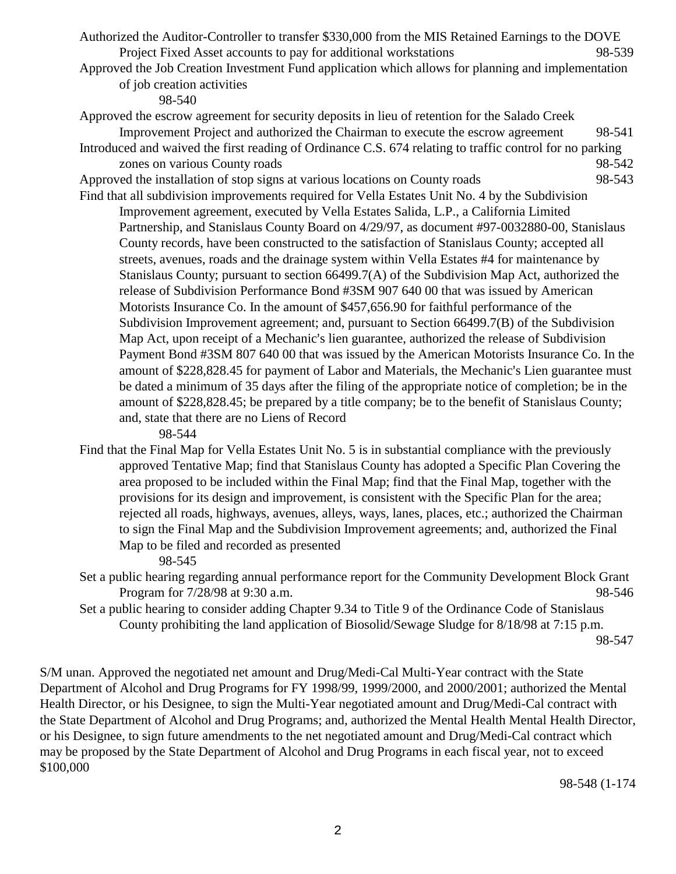Authorized the Auditor-Controller to transfer \$330,000 from the MIS Retained Earnings to the DOVE Project Fixed Asset accounts to pay for additional workstations 98-539

Approved the Job Creation Investment Fund application which allows for planning and implementation of job creation activities

98-540

Approved the escrow agreement for security deposits in lieu of retention for the Salado Creek Improvement Project and authorized the Chairman to execute the escrow agreement 98-541

Introduced and waived the first reading of Ordinance C.S. 674 relating to traffic control for no parking zones on various County roads 98-542

Approved the installation of stop signs at various locations on County roads 98-543 Find that all subdivision improvements required for Vella Estates Unit No. 4 by the Subdivision

Improvement agreement, executed by Vella Estates Salida, L.P., a California Limited Partnership, and Stanislaus County Board on 4/29/97, as document #97-0032880-00, Stanislaus County records, have been constructed to the satisfaction of Stanislaus County; accepted all streets, avenues, roads and the drainage system within Vella Estates #4 for maintenance by Stanislaus County; pursuant to section 66499.7(A) of the Subdivision Map Act, authorized the release of Subdivision Performance Bond #3SM 907 640 00 that was issued by American Motorists Insurance Co. In the amount of \$457,656.90 for faithful performance of the Subdivision Improvement agreement; and, pursuant to Section 66499.7(B) of the Subdivision Map Act, upon receipt of a Mechanic's lien guarantee, authorized the release of Subdivision Payment Bond #3SM 807 640 00 that was issued by the American Motorists Insurance Co. In the amount of \$228,828.45 for payment of Labor and Materials, the Mechanic's Lien guarantee must be dated a minimum of 35 days after the filing of the appropriate notice of completion; be in the amount of \$228,828.45; be prepared by a title company; be to the benefit of Stanislaus County; and, state that there are no Liens of Record

98-544

Find that the Final Map for Vella Estates Unit No. 5 is in substantial compliance with the previously approved Tentative Map; find that Stanislaus County has adopted a Specific Plan Covering the area proposed to be included within the Final Map; find that the Final Map, together with the provisions for its design and improvement, is consistent with the Specific Plan for the area; rejected all roads, highways, avenues, alleys, ways, lanes, places, etc.; authorized the Chairman to sign the Final Map and the Subdivision Improvement agreements; and, authorized the Final Map to be filed and recorded as presented

98-545

- Set a public hearing regarding annual performance report for the Community Development Block Grant Program for  $7/28/98$  at 9:30 a.m. 98-546
- Set a public hearing to consider adding Chapter 9.34 to Title 9 of the Ordinance Code of Stanislaus County prohibiting the land application of Biosolid/Sewage Sludge for 8/18/98 at 7:15 p.m.

S/M unan. Approved the negotiated net amount and Drug/Medi-Cal Multi-Year contract with the State Department of Alcohol and Drug Programs for FY 1998/99, 1999/2000, and 2000/2001; authorized the Mental Health Director, or his Designee, to sign the Multi-Year negotiated amount and Drug/Medi-Cal contract with the State Department of Alcohol and Drug Programs; and, authorized the Mental Health Mental Health Director, or his Designee, to sign future amendments to the net negotiated amount and Drug/Medi-Cal contract which may be proposed by the State Department of Alcohol and Drug Programs in each fiscal year, not to exceed \$100,000

98-548 (1-174

<sup>98-547</sup>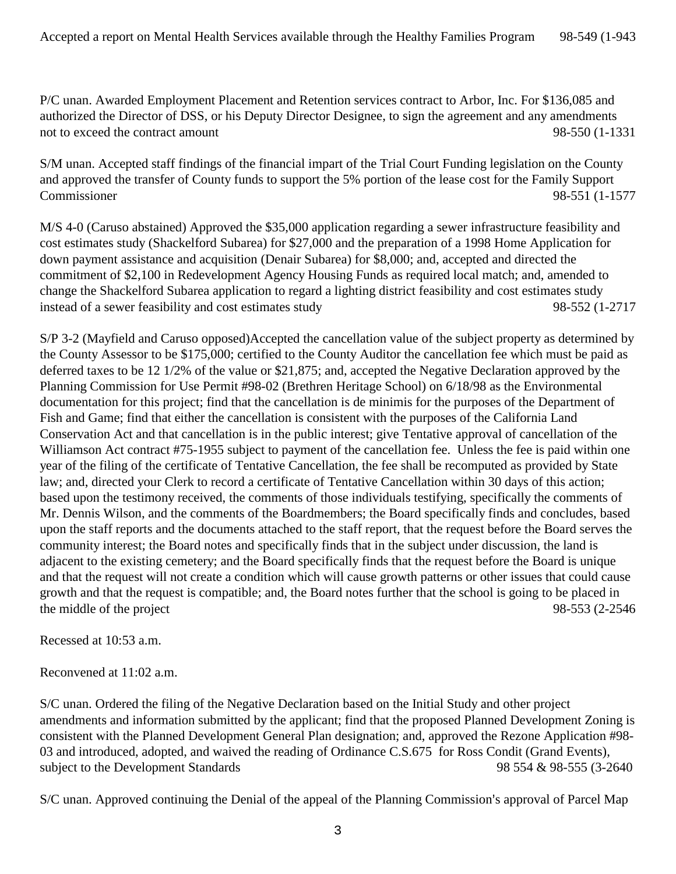P/C unan. Awarded Employment Placement and Retention services contract to Arbor, Inc. For \$136,085 and authorized the Director of DSS, or his Deputy Director Designee, to sign the agreement and any amendments not to exceed the contract amount 98-550 (1-1331

S/M unan. Accepted staff findings of the financial impart of the Trial Court Funding legislation on the County and approved the transfer of County funds to support the 5% portion of the lease cost for the Family Support Commissioner 98-551 (1-1577

M/S 4-0 (Caruso abstained) Approved the \$35,000 application regarding a sewer infrastructure feasibility and cost estimates study (Shackelford Subarea) for \$27,000 and the preparation of a 1998 Home Application for down payment assistance and acquisition (Denair Subarea) for \$8,000; and, accepted and directed the commitment of \$2,100 in Redevelopment Agency Housing Funds as required local match; and, amended to change the Shackelford Subarea application to regard a lighting district feasibility and cost estimates study instead of a sewer feasibility and cost estimates study 98-552 (1-2717

S/P 3-2 (Mayfield and Caruso opposed)Accepted the cancellation value of the subject property as determined by the County Assessor to be \$175,000; certified to the County Auditor the cancellation fee which must be paid as deferred taxes to be 12 1/2% of the value or \$21,875; and, accepted the Negative Declaration approved by the Planning Commission for Use Permit #98-02 (Brethren Heritage School) on 6/18/98 as the Environmental documentation for this project; find that the cancellation is de minimis for the purposes of the Department of Fish and Game; find that either the cancellation is consistent with the purposes of the California Land Conservation Act and that cancellation is in the public interest; give Tentative approval of cancellation of the Williamson Act contract #75-1955 subject to payment of the cancellation fee. Unless the fee is paid within one year of the filing of the certificate of Tentative Cancellation, the fee shall be recomputed as provided by State law; and, directed your Clerk to record a certificate of Tentative Cancellation within 30 days of this action; based upon the testimony received, the comments of those individuals testifying, specifically the comments of Mr. Dennis Wilson, and the comments of the Boardmembers; the Board specifically finds and concludes, based upon the staff reports and the documents attached to the staff report, that the request before the Board serves the community interest; the Board notes and specifically finds that in the subject under discussion, the land is adjacent to the existing cemetery; and the Board specifically finds that the request before the Board is unique and that the request will not create a condition which will cause growth patterns or other issues that could cause growth and that the request is compatible; and, the Board notes further that the school is going to be placed in the middle of the project 98-553 (2-2546)

Recessed at 10:53 a.m.

Reconvened at 11:02 a.m.

S/C unan. Ordered the filing of the Negative Declaration based on the Initial Study and other project amendments and information submitted by the applicant; find that the proposed Planned Development Zoning is consistent with the Planned Development General Plan designation; and, approved the Rezone Application #98- 03 and introduced, adopted, and waived the reading of Ordinance C.S.675 for Ross Condit (Grand Events), subject to the Development Standards 98 554 & 98-555 (3-2640)

S/C unan. Approved continuing the Denial of the appeal of the Planning Commission's approval of Parcel Map